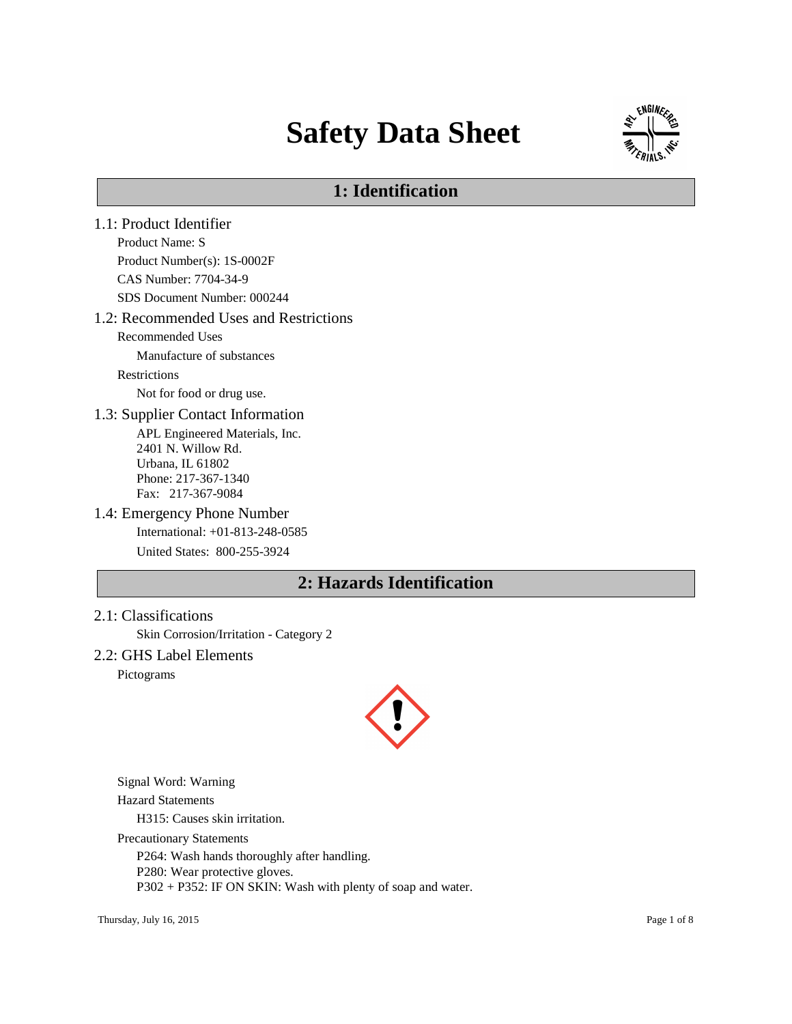# **Safety Data Sheet**



### **1: Identification**

1.1: Product Identifier Product Name: S Product Number(s): 1S-0002F CAS Number: 7704-34-9 SDS Document Number: 000244 1.2: Recommended Uses and Restrictions Recommended Uses Manufacture of substances Restrictions Not for food or drug use. 1.3: Supplier Contact Information APL Engineered Materials, Inc. 2401 N. Willow Rd. Urbana, IL 61802 Phone: 217-367-1340 Fax: 217-367-9084 1.4: Emergency Phone Number International: +01-813-248-0585 United States: 800-255-3924 **2: Hazards Identification**

2.1: Classifications

Skin Corrosion/Irritation - Category 2

2.2: GHS Label Elements

Pictograms



Signal Word: Warning

Hazard Statements

H315: Causes skin irritation.

Precautionary Statements

P264: Wash hands thoroughly after handling.

P280: Wear protective gloves.

P302 + P352: IF ON SKIN: Wash with plenty of soap and water.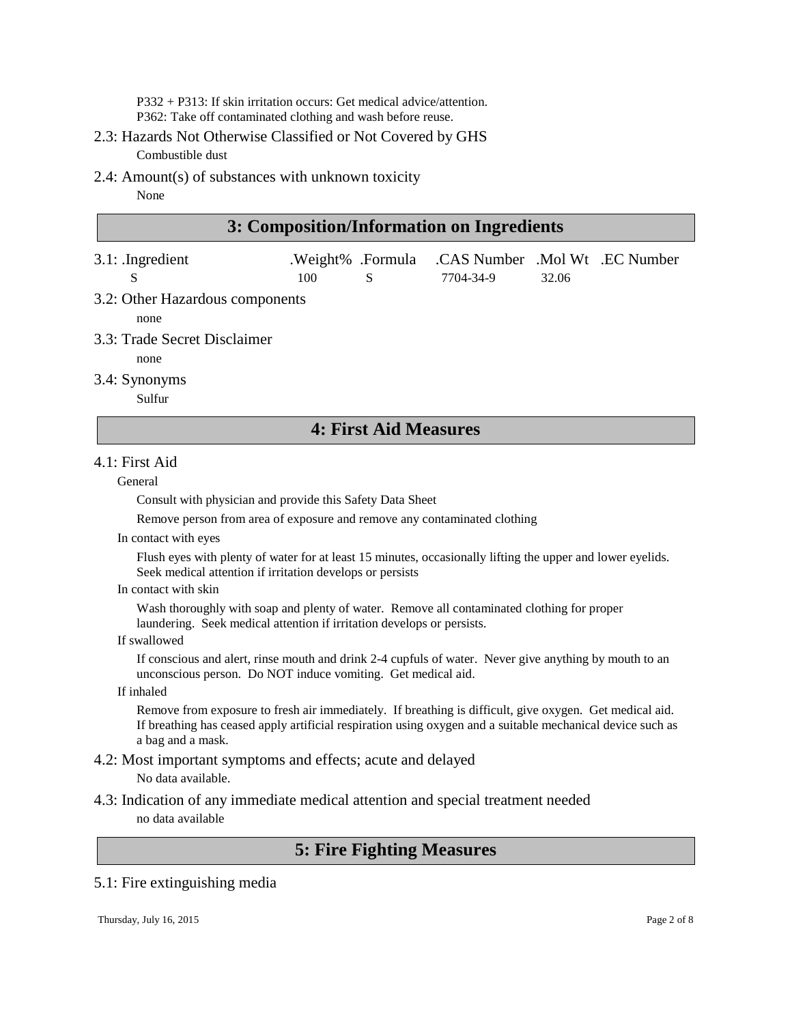P332 + P313: If skin irritation occurs: Get medical advice/attention. P362: Take off contaminated clothing and wash before reuse.

- 2.3: Hazards Not Otherwise Classified or Not Covered by GHS Combustible dust
- 2.4: Amount(s) of substances with unknown toxicity None

| 3: Composition/Information on Ingredients |      |  |                                                  |       |  |
|-------------------------------------------|------|--|--------------------------------------------------|-------|--|
| 3.1: Ingredient                           |      |  | .Weight% .Formula .CAS Number .Mol Wt .EC Number |       |  |
|                                           | 100. |  | 7704-34-9                                        | 32.06 |  |

#### 3.2: Other Hazardous components

none

#### 3.3: Trade Secret Disclaimer

none

#### 3.4: Synonyms

Sulfur

### **4: First Aid Measures**

### 4.1: First Aid

#### General

Consult with physician and provide this Safety Data Sheet

Remove person from area of exposure and remove any contaminated clothing

In contact with eyes

Flush eyes with plenty of water for at least 15 minutes, occasionally lifting the upper and lower eyelids. Seek medical attention if irritation develops or persists

#### In contact with skin

Wash thoroughly with soap and plenty of water. Remove all contaminated clothing for proper laundering. Seek medical attention if irritation develops or persists.

If swallowed

If conscious and alert, rinse mouth and drink 2-4 cupfuls of water. Never give anything by mouth to an unconscious person. Do NOT induce vomiting. Get medical aid.

#### If inhaled

Remove from exposure to fresh air immediately. If breathing is difficult, give oxygen. Get medical aid. If breathing has ceased apply artificial respiration using oxygen and a suitable mechanical device such as a bag and a mask.

#### 4.2: Most important symptoms and effects; acute and delayed No data available.

#### 4.3: Indication of any immediate medical attention and special treatment needed no data available

### **5: Fire Fighting Measures**

#### 5.1: Fire extinguishing media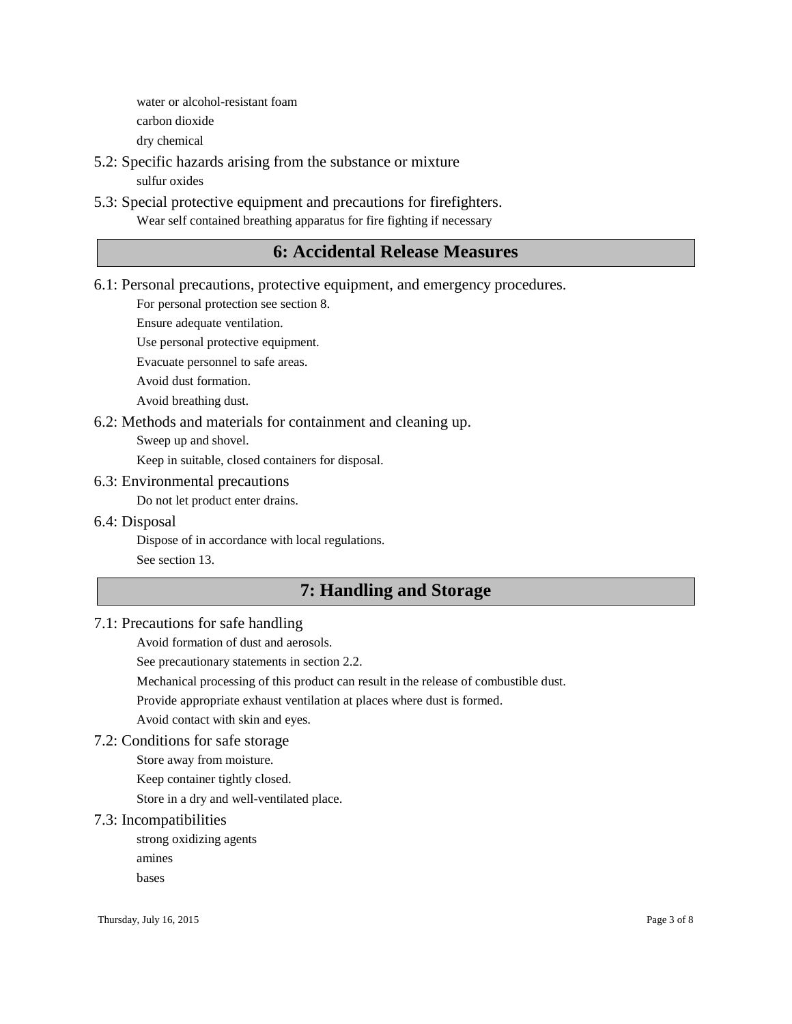water or alcohol-resistant foam carbon dioxide dry chemical

- 5.2: Specific hazards arising from the substance or mixture sulfur oxides
- 5.3: Special protective equipment and precautions for firefighters. Wear self contained breathing apparatus for fire fighting if necessary

### **6: Accidental Release Measures**

6.1: Personal precautions, protective equipment, and emergency procedures.

For personal protection see section 8.

Ensure adequate ventilation.

Use personal protective equipment.

Evacuate personnel to safe areas.

Avoid dust formation.

Avoid breathing dust.

#### 6.2: Methods and materials for containment and cleaning up.

Sweep up and shovel.

Keep in suitable, closed containers for disposal.

#### 6.3: Environmental precautions

Do not let product enter drains.

6.4: Disposal

Dispose of in accordance with local regulations.

See section 13.

### **7: Handling and Storage**

#### 7.1: Precautions for safe handling

Avoid formation of dust and aerosols.

See precautionary statements in section 2.2.

Mechanical processing of this product can result in the release of combustible dust.

Provide appropriate exhaust ventilation at places where dust is formed.

Avoid contact with skin and eyes.

#### 7.2: Conditions for safe storage

Store away from moisture.

Keep container tightly closed.

Store in a dry and well-ventilated place.

#### 7.3: Incompatibilities

strong oxidizing agents

amines

bases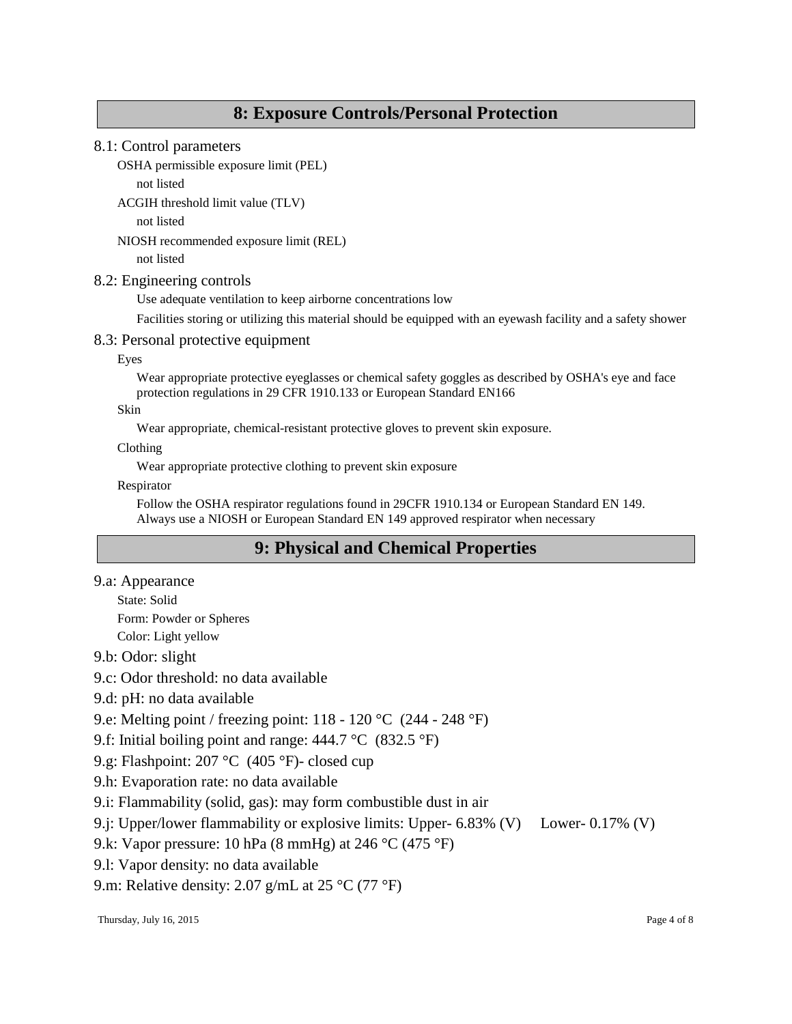### **8: Exposure Controls/Personal Protection**

#### 8.1: Control parameters

OSHA permissible exposure limit (PEL)

not listed

ACGIH threshold limit value (TLV)

not listed

NIOSH recommended exposure limit (REL)

not listed

#### 8.2: Engineering controls

Use adequate ventilation to keep airborne concentrations low

Facilities storing or utilizing this material should be equipped with an eyewash facility and a safety shower

#### 8.3: Personal protective equipment

Eyes

Wear appropriate protective eyeglasses or chemical safety goggles as described by OSHA's eye and face protection regulations in 29 CFR 1910.133 or European Standard EN166

Skin

Wear appropriate, chemical-resistant protective gloves to prevent skin exposure.

Clothing

Wear appropriate protective clothing to prevent skin exposure

Respirator

Follow the OSHA respirator regulations found in 29CFR 1910.134 or European Standard EN 149. Always use a NIOSH or European Standard EN 149 approved respirator when necessary

### **9: Physical and Chemical Properties**

9.a: Appearance

State: Solid

Form: Powder or Spheres

Color: Light yellow

9.b: Odor: slight

9.c: Odor threshold: no data available

9.d: pH: no data available

9.e: Melting point / freezing point: 118 - 120 °C (244 - 248 °F)

9.f: Initial boiling point and range: 444.7 °C (832.5 °F)

9.g: Flashpoint: 207 °C (405 °F)- closed cup

9.h: Evaporation rate: no data available

9.i: Flammability (solid, gas): may form combustible dust in air

9.j: Upper/lower flammability or explosive limits: Upper- 6.83% (V) Lower- 0.17% (V)

9.k: Vapor pressure: 10 hPa (8 mmHg) at 246 °C (475 °F)

9.l: Vapor density: no data available

9.m: Relative density: 2.07 g/mL at 25  $^{\circ}$ C (77  $^{\circ}$ F)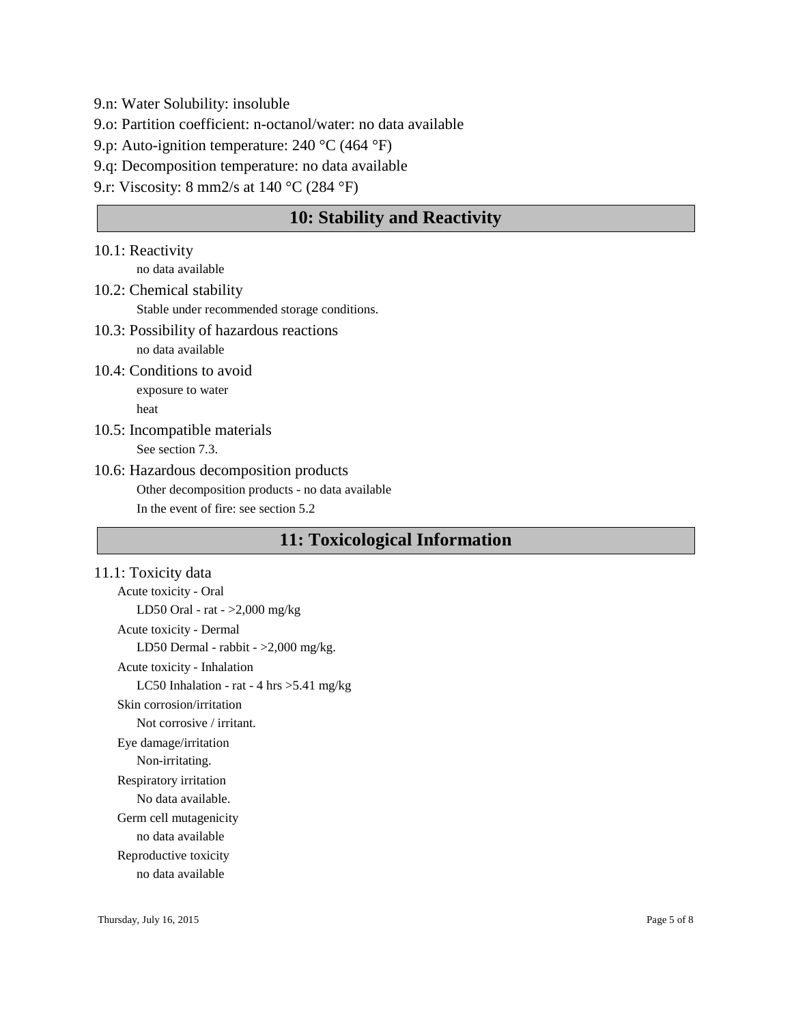- 9.n: Water Solubility: insoluble
- 9.o: Partition coefficient: n-octanol/water: no data available
- 9.p: Auto-ignition temperature: 240 °C (464 °F)
- 9.q: Decomposition temperature: no data available
- 9.r: Viscosity: 8 mm2/s at 140 °C (284 °F)

### **10: Stability and Reactivity**

- 10.1: Reactivity no data available
- 10.2: Chemical stability Stable under recommended storage conditions.
- 10.3: Possibility of hazardous reactions no data available
- 10.4: Conditions to avoid exposure to water heat
- 10.5: Incompatible materials See section 7.3.
- 10.6: Hazardous decomposition products Other decomposition products - no data available In the event of fire: see section 5.2

### **11: Toxicological Information**

11.1: Toxicity data Acute toxicity - Oral LD50 Oral - rat - >2,000 mg/kg Acute toxicity - Dermal LD50 Dermal - rabbit - >2,000 mg/kg. Acute toxicity - Inhalation LC50 Inhalation - rat - 4 hrs  $>5.41$  mg/kg Skin corrosion/irritation Not corrosive / irritant. Eye damage/irritation Non-irritating. Respiratory irritation No data available. Germ cell mutagenicity no data available Reproductive toxicity no data available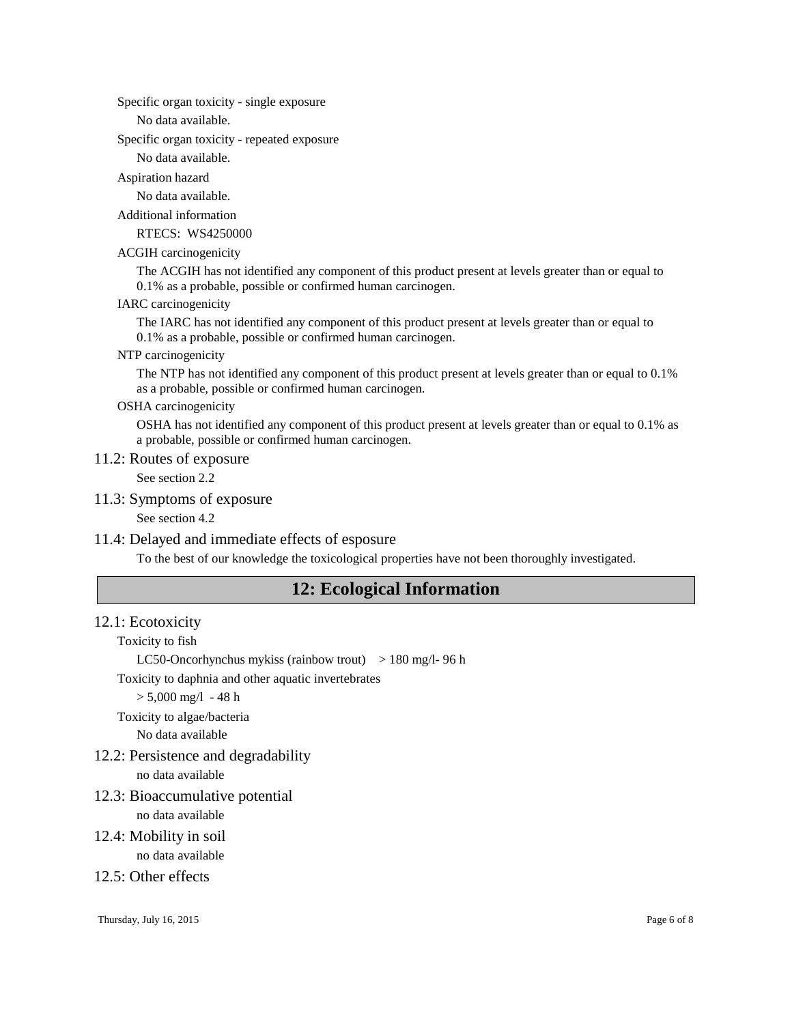Specific organ toxicity - single exposure

No data available.

Specific organ toxicity - repeated exposure

No data available.

Aspiration hazard

No data available.

Additional information

RTECS: WS4250000

ACGIH carcinogenicity

The ACGIH has not identified any component of this product present at levels greater than or equal to 0.1% as a probable, possible or confirmed human carcinogen.

#### IARC carcinogenicity

The IARC has not identified any component of this product present at levels greater than or equal to 0.1% as a probable, possible or confirmed human carcinogen.

#### NTP carcinogenicity

The NTP has not identified any component of this product present at levels greater than or equal to 0.1% as a probable, possible or confirmed human carcinogen.

#### OSHA carcinogenicity

OSHA has not identified any component of this product present at levels greater than or equal to 0.1% as a probable, possible or confirmed human carcinogen.

#### 11.2: Routes of exposure

See section 2.2

#### 11.3: Symptoms of exposure

See section 4.2

#### 11.4: Delayed and immediate effects of esposure

To the best of our knowledge the toxicological properties have not been thoroughly investigated.

### **12: Ecological Information**

#### 12.1: Ecotoxicity

Toxicity to fish

LC50-Oncorhynchus mykiss (rainbow trout)  $> 180$  mg/l-96 h

Toxicity to daphnia and other aquatic invertebrates

 $> 5,000$  mg/l - 48 h

Toxicity to algae/bacteria

No data available

12.2: Persistence and degradability

no data available

12.3: Bioaccumulative potential

no data available

12.4: Mobility in soil

no data available

12.5: Other effects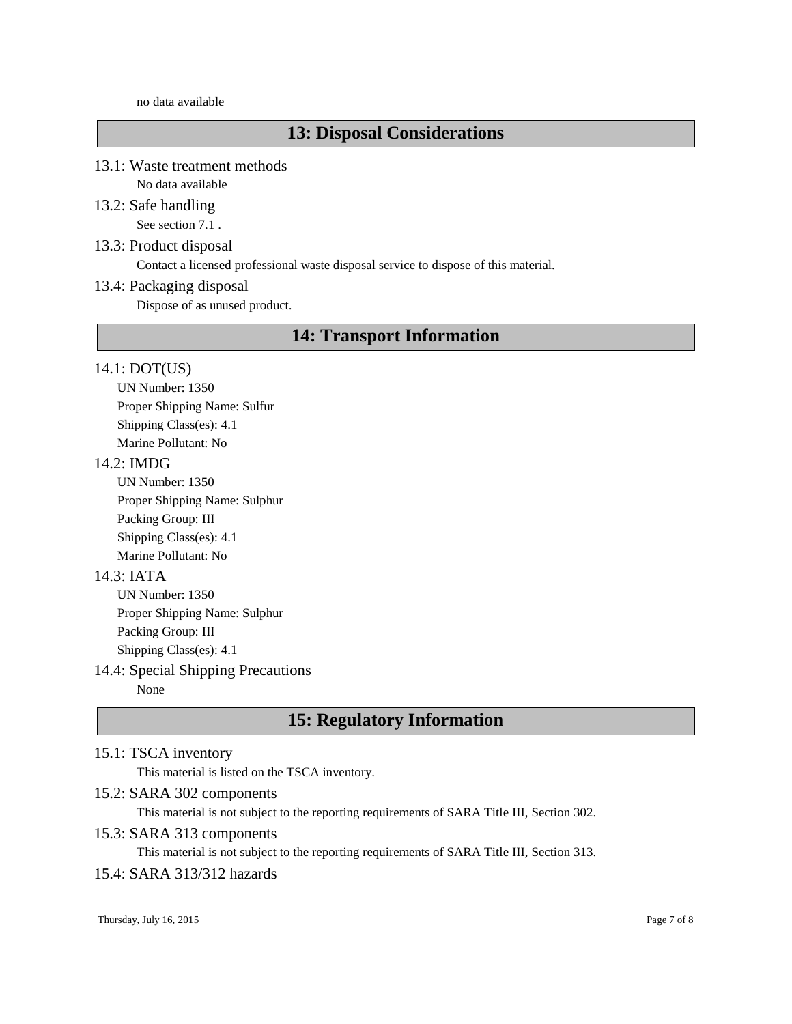#### no data available

### **13: Disposal Considerations**

#### 13.1: Waste treatment methods

No data available

## 13.2: Safe handling

See section 7.1 .

#### 13.3: Product disposal

Contact a licensed professional waste disposal service to dispose of this material.

#### 13.4: Packaging disposal

Dispose of as unused product.

### **14: Transport Information**

#### 14.1: DOT(US)

UN Number: 1350 Proper Shipping Name: Sulfur Shipping Class(es): 4.1 Marine Pollutant: No

#### 14.2: IMDG

UN Number: 1350 Proper Shipping Name: Sulphur Packing Group: III Shipping Class(es): 4.1 Marine Pollutant: No

#### 14.3: IATA

UN Number: 1350 Proper Shipping Name: Sulphur Packing Group: III Shipping Class(es): 4.1

#### 14.4: Special Shipping Precautions

None

### **15: Regulatory Information**

#### 15.1: TSCA inventory

This material is listed on the TSCA inventory.

#### 15.2: SARA 302 components

This material is not subject to the reporting requirements of SARA Title III, Section 302.

#### 15.3: SARA 313 components

This material is not subject to the reporting requirements of SARA Title III, Section 313.

#### 15.4: SARA 313/312 hazards